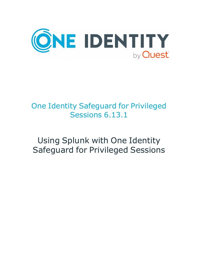

# One Identity Safeguard for Privileged Sessions 6.13.1

# Using Splunk with One Identity Safeguard for Privileged Sessions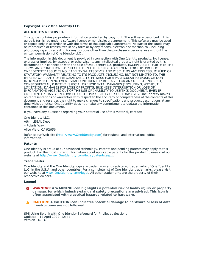#### **Copyright 2022 One Identity LLC.**

#### **ALL RIGHTS RESERVED.**

This guide contains proprietary information protected by copyright. The software described in this guide is furnished under a software license or nondisclosure agreement. This software may be used or copied only in accordance with the terms of the applicable agreement. No part of this guide may be reproduced or transmitted in any form or by any means, electronic or mechanical, including photocopying and recording for any purpose other than the purchaser's personal use without the written permission of One Identity LLC .

The information in this document is provided in connection with One Identity products. No license, express or implied, by estoppel or otherwise, to any intellectual property right is granted by this document or in connection with the sale of One Identity LLC products. EXCEPT AS SET FORTH IN THE TERMS AND CONDITIONS AS SPECIFIED IN THE LICENSE AGREEMENT FOR THIS PRODUCT, ONE IDENTITY ASSUMES NO LIABILITY WHATSOEVER AND DISCLAIMS ANY EXPRESS, IMPLIED OR STATUTORY WARRANTY RELATING TO ITS PRODUCTS INCLUDING, BUT NOT LIMITED TO, THE IMPLIED WARRANTY OF MERCHANTABILITY, FITNESS FOR A PARTICULAR PURPOSE, OR NON-INFRINGEMENT. IN NO EVENT SHALL ONE IDENTITY BE LIABLE FOR ANY DIRECT, INDIRECT, CONSEQUENTIAL, PUNITIVE, SPECIAL OR INCIDENTAL DAMAGES (INCLUDING, WITHOUT LIMITATION, DAMAGES FOR LOSS OF PROFITS, BUSINESS INTERRUPTION OR LOSS OF INFORMATION) ARISING OUT OF THE USE OR INABILITY TO USE THIS DOCUMENT, EVEN IF ONE IDENTITY HAS BEEN ADVISED OF THE POSSIBILITY OF SUCH DAMAGES. One Identity makes no representations or warranties with respect to the accuracy or completeness of the contents of this document and reserves the right to make changes to specifications and product descriptions at any time without notice. One Identity does not make any commitment to update the information contained in this document.

If you have any questions regarding your potential use of this material, contact:

One Identity LLC. Attn: LEGAL Dept 4 Polaris Way Aliso Viejo, CA 92656

Refer to our Web site [\(http://www.OneIdentity.com](http://www.oneidentity.com/)) for regional and international office information.

#### **Patents**

One Identity is proud of our advanced technology. Patents and pending patents may apply to this product. For the most current information about applicable patents for this product, please visit our website at [http://www.OneIdentity.com/legal/patents.aspx.](http://www.oneidentity.com/legal/patents.aspx)

#### **Trademarks**

One Identity and the One Identity logo are trademarks and registered trademarks of One Identity LLC. in the U.S.A. and other countries. For a complete list of One Identity trademarks, please visit our website at [www.OneIdentity.com/legal](http://www.oneidentity.com/legal). All other trademarks are the property of their respective owners.

#### **Legend**

**WARNING: A WARNING icon highlights a potential risk of bodily injury or property** œ **damage, for which industry-standard safety precautions are advised. This icon is often associated with electrical hazards related to hardware.**

**CAUTION: A CAUTION icon indicates potential damage to hardware or loss of data if instructions are not followed.**

SPS Using Splunk with One Identity Safeguard for Privileged Sessions Updated - 12 April 2022, 12:41 Version - 6.13.1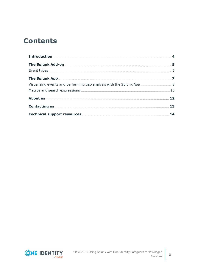## **Contents**

| Contacting us <b>contacting</b> us <b>contacting</b> us <b>contacting</b> us <b>contacting</b> us <b>contacting</b> us <b>contacting</b> us <b>contacting</b> us <b>contact in the set of the set of the set of the set of the set of the set of the set of the set</b> |  |
|-------------------------------------------------------------------------------------------------------------------------------------------------------------------------------------------------------------------------------------------------------------------------|--|
|                                                                                                                                                                                                                                                                         |  |

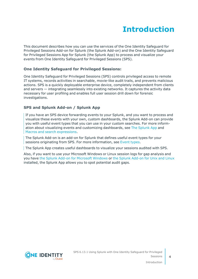# **Introduction**

<span id="page-3-0"></span>This document describes how you can use the services of the One Identity Safeguard for Privileged Sessions Add-on for Splunk (the Splunk Add-on) and the One Identity Safeguard for Privileged Sessions App for Splunk (the Splunk App) to process and visualize your events from One Identity Safeguard for Privileged Sessions (SPS).

### **One Identity Safeguard for Privileged Sessions:**

One Identity Safeguard for Privileged Sessions (SPS) controls privileged access to remote IT systems, records activities in searchable, movie-like audit trails, and prevents malicious actions. SPS is a quickly deployable enterprise device, completely independent from clients and servers — integrating seamlessly into existing networks. It captures the activity data necessary for user profiling and enables full user session drill down for forensic investigations.

### **SPS and Splunk Add-on / Splunk App**

If you have an SPS device forwarding events to your Splunk, and you want to process and visualize these events with your own, custom dashboards, the Splunk Add-on can provide you with useful event types that you can use in your custom searches. For more information about visualizing events and customizing dashboards, see The [Splunk](#page-6-0) App and Macros and search [expressions.](#page-9-0)

The Splunk Add-on is an add-on for Splunk that defines useful event types for your sessions originating from SPS. For more information, see [Event](../../../../../Content/Guides/integrations/splunk-app-and-addon/splunk-app-addon-event-types.htm) types.

The Splunk App creates useful dashboards to visualize your sessions audited with SPS.

Also, if you want to use your Microsoft Windows or Linux session logs for gap analysis and you have the Splunk Add-on for [Microsoft](https://splunkbase.splunk.com/app/742/) Windows or the Splunk [Add-on](https://splunkbase.splunk.com/app/833/) for Unix and Linux installed, the Splunk App allows you to spot potential audit gaps.



**4**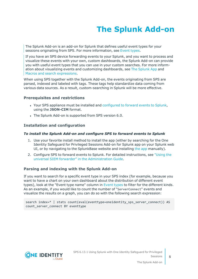# **The Splunk Add-on**

<span id="page-4-0"></span>The Splunk Add-on is an add-on for Splunk that defines useful event types for your sessions originating from SPS. For more information, see [Event](../../../../../Content/Guides/integrations/splunk-app-and-addon/splunk-app-addon-event-types.htm) types.

If you have an SPS device forwarding events to your Splunk, and you want to process and visualize these events with your own, custom dashboards, the Splunk Add-on can provide you with useful event types that you can use in your custom searches. For more information about visualizing events and customizing dashboards, see The [Splunk](#page-6-0) App and Macros and search [expressions.](#page-9-0)

When using SPS together with the Splunk Add-on, the events originating from SPS are parsed, indexed and labeled with tags. These tags help standardize data coming from various data sources. As a result, custom-searching in Splunk will be more effective.

#### **Prerequisites and restrictions**

- Your SPS appliance must be installed and [configured](https://support.oneidentity.com/technical-documents/safeguard-for-privileged-sessions/6.13.1/administration-guide/basic-settings/forwarding-data-to-third-party-systems/) to forward events to Splunk, using the **JSON-CIM** format.
- The Splunk Add-on is supported from SPS version 6.0.

#### **Installation and configuration**

#### *To install the Splunk Add-on and configure SPS to forward events to Splunk*

- 1. Use your favorite install method to install the app (either by searching for the One Identity Safeguard for Privileged Sessions Add-on for Splunk app on your Splunk web UI, or by navigating to the SplunkBase website and installing the [app](https://splunkbase.splunk.com/app/4502/) manually).
- 2. Configure SPS to forward events to Splunk. For detailed instructions, see ["Using](https://support.oneidentity.com/technical-documents/safeguard-for-privileged-sessions/6.13.1/administration-guide/basic-settings/forwarding-data-to-third-party-systems/using-the-universal-siem-forwarder/) the universal SIEM forwarder" in the [Administration](https://support.oneidentity.com/technical-documents/safeguard-for-privileged-sessions/6.13.1/administration-guide/basic-settings/forwarding-data-to-third-party-systems/using-the-universal-siem-forwarder/) Guide.

#### **Parsing and indexing with the Splunk Add-on**

If you want to search for a specific event type in your SPS index (for example, because you want to have a chart on your own dashboard about the distribution of different event types), look at the "Event type name" column in [Event](#page-5-0) types to filter for the different kinds. As an example, if you would like to count the number of "ServerConnect" events and visualize the results on a graph, you can do so with the following search expression:

search index=\* | stats count(eval(eventtype=oneidentity\_sps\_server\_connect)) AS count server connect BY eventtype

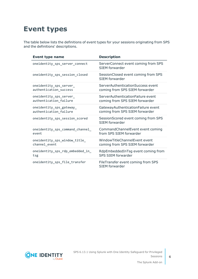# <span id="page-5-0"></span>**Event types**

The table below lists the definitions of event types for your sessions originating from SPS and the definitions' descriptions.

| <b>Event type name</b>           | <b>Description</b>                                          |
|----------------------------------|-------------------------------------------------------------|
| oneidentity_sps_server_connect   | ServerConnect event coming from SPS<br>SIEM forwarder       |
| oneidentity_sps_session_closed   | SessionClosed event coming from SPS<br>SIFM forwarder       |
| oneidentity_sps_server_          | ServerAuthenticationSuccess event                           |
| authentication_success           | coming from SPS SIEM forwarder                              |
| oneidentity_sps_server_          | ServerAuthenticationFailure event                           |
| authentication_failure           | coming from SPS SIEM forwarder                              |
| oneidentity_sps_gateway_         | GatewayAuthenticationFailure event                          |
| authentication_failure           | coming from SPS SIEM forwarder                              |
| oneidentity_sps_session_scored   | SessionScored event coming from SPS<br>SIEM forwarder       |
| oneidentity_sps_command_channel_ | CommandChannelEvent event coming                            |
| event                            | from SPS SIEM forwarder                                     |
| oneidentity_sps_window_title_    | WindowTitleChannelEvent event                               |
| channel_event                    | coming from SPS SIEM forwarder                              |
| oneidentity_sps_rdp_embedded_in_ | RdpEmbeddedInTsg event coming from                          |
| tsg                              | <b>SPS SIEM forwarder</b>                                   |
| oneidentity_sps_file_transfer    | FileTransfer event coming from SPS<br><b>SIEM</b> forwarder |



The Splunk Add-on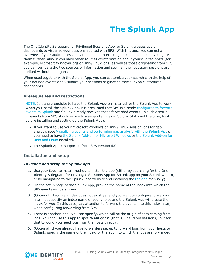# **The Splunk App**

<span id="page-6-0"></span>The One Identity Safeguard for Privileged Sessions App for Splunk creates useful dashboards to visualize your sessions audited with SPS. With this app, you can get an overview of your audited sessions and pinpoint interesting ones to be able to investigate them further. Also, if you have other sources of information about your audited hosts (for example, Microsoft Windows logs or Unix/Linux logs) as well as those originating from SPS, you can compare the two sources of information and see if all the necessary sessions are audited without audit gaps.

When used together with the Splunk App, you can customize your search with the help of your defined events and visualize your sessions originating from SPS on customized dashboards.

### **Prerequisites and restrictions**

NOTE: It is a prerequisite to have the Splunk Add-on installed for the Splunk App to work. When you install the Splunk App, it is presumed that SPS is already [configured](https://support.oneidentity.com/technical-documents/safeguard-for-privileged-sessions/6.13.1/administration-guide/basic-settings/forwarding-data-to-third-party-systems/) to forward events to [Splunk](https://support.oneidentity.com/technical-documents/safeguard-for-privileged-sessions/6.13.1/administration-guide/basic-settings/forwarding-data-to-third-party-systems/) and Splunk already receives these forwarded events. In such a setup, all events from SPS should arrive to a separate index in Splunk (if it's not the case, fix it before installing and setting up the Splunk App).

- If you want to use your Microsoft Windows or Unix / Linux session logs for gap analysis (see Visualizing events and [performing](#page-7-0) gap analysis with the Splunk App), you need to have the Splunk Add-on for [Microsoft](https://splunkbase.splunk.com/app/742/) Windows or the Splunk [Add-on](https://splunkbase.splunk.com/app/833/) for Unix and [Linux](https://splunkbase.splunk.com/app/833/) installed.
- The Splunk App is supported from SPS version 6.0.

#### **Installation and setup**

#### *To install and setup the Splunk App*

- 1. Use your favorite install method to install the app (either by searching for the One Identity Safeguard for Privileged Sessions App for Splunk app on your Splunk web UI, or by navigating to the SplunkBase website and installing the the [app](https://splunkbase.splunk.com/app/4503/) manually).
- 2. On the setup page of the Splunk App, provide the name of the index into which the SPS events will be arriving.
- 3. (Optional) If such an index does not exist yet and you want to configure forwarding later, just specify an index name of your choice and the Splunk App will create the index for you. In this case, pay attention to forward the events into this index later, when configuring forwarding from SPS.
- 4. There is another index you can specify, which will be the origin of data coming from logs. You can use this app to spot "audit gaps" (that is, unaudited sessions), but for that to work, you need logs from the hosts directly.
- 5. (Optional) If you already have forwarders set up to forward logs from your hosts to Splunk, specify the name of the index for the app into which the logs are forwarded.

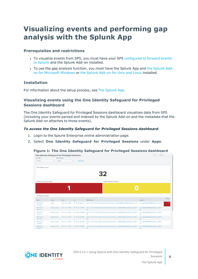## <span id="page-7-0"></span>**Visualizing events and performing gap analysis with the Splunk App**

### **Prerequisites and restrictions**

- To visualize events from SPS, you must have your SPS [configured](https://support.oneidentity.com/technical-documents/safeguard-for-privileged-sessions/6.13.1/administration-guide/basic-settings/forwarding-data-to-third-party-systems/) to forward events to [Splunk](https://support.oneidentity.com/technical-documents/safeguard-for-privileged-sessions/6.13.1/administration-guide/basic-settings/forwarding-data-to-third-party-systems/) and the Splunk Add-on installed.
- To use the gap analysis function, you must have the [Splunk](https://splunkbase.splunk.com/app/742/) App and the Splunk Addon for [Microsoft](https://splunkbase.splunk.com/app/742/) Windows or the Splunk [Add-on](https://splunkbase.splunk.com/app/833/) for Unix and Linux installed.

#### **Installation**

For information about the setup process, see The [Splunk](#page-6-0) App.

### **Visualizing events using the One Identity Safeguard for Privileged Sessions dashboard**

The One Identity Safeguard for Privileged Sessions dashboard visualizes data from SPS (including your events parsed and indexed by the Splunk Add-on and the metadata that the Splunk Add-on attaches to those events).

#### *To access the One Identity Safeguard for Privileged Sessions dashboard*

- 1. Login to the Splunk Enterprise online administration page.
- 2. Select **One Identity Safeguard for Privileged Sessions** under **Apps**.

#### **Figure 1: The One Identity Safeguard for Privileged Sessions dashboard**



SPS 6.13.1 Using Splunk with One Identity Safeguard for Privileged Sessions



**8**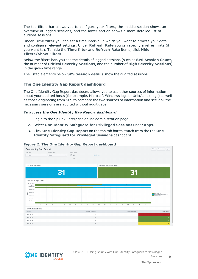The top filters bar allows you to configure your filters, the middle section shows an overview of logged sessions, and the lower section shows a more detailed list of audited sessions.

Under **Time filter** you can set a time interval in which you want to browse your data, and configure relevant settings. Under **Refresh Rate** you can specify a refresh rate (if you want to). To hide the **Time filter** and **Refresh Rate** items, click **Hide Filters/Show Filters**.

Below the filters bar, you see the details of logged sessions (such as **SPS Session Count**, the number of **Critical Severity Sessions**, and the number of **High Severity Sessions**) in the given time range.

The listed elements below **SPS Session details** show the audited sessions.

### **The One Identity Gap Report dashboard**

The One Identity Gap Report dashboard allows you to use other sources of information about your audited hosts (for example, Microsoft Windows logs or Unix/Linux logs) as well as those originating from SPS to compare the two sources of information and see if all the necessary sessions are audited without audit gaps

#### *To access the One Identity Gap Report dashboard*

- 1. Login to the Splunk Enterprise online administration page.
- 2. Select **One Identity Safeguard for Privileged Sessions** under **Apps**.
- 3. Click **One Identity Gap Report** on the top tab bar to switch from the the **One Identity Safeguard for Privileged Sessions** dashboard.



#### **Figure 2: The One Identity Gap Report dashboard**





The Splunk App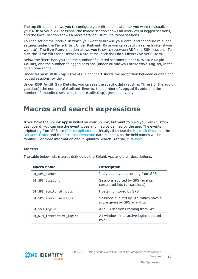The top filters bar allows you to configure your filters and whether you want to visualize your RDP or your SSH sessions, the middle section shows an overview of logged sessions, and the lower section shows a more detailed list of unaudited sessions.

You can set a time interval in which you want to browse your data, and configure relevant settings under the **Time filter**. Under **Refresh Rate** you can specify a refresh rate (if you want to). The **Run Panels** option allows you to switch between RDP and SSH sessions. To hide the **Time filter**and **Refresh Rate** items, click the **Hide Filters/Show Filters**.

Below the filters bar, you see the number of audited sessions (under **SPS RDP Login Count**), and the number of logged sessions (under **Windows Interactive Logins**) in the given time range.

Under **Gaps in RDP Login Events**, a bar chart shows the proportion between audited and logged sessions, by day.

Under **RDP Audit Gap Details**, you can see the specific data (such as **Time** (for the audit gap date), the number of **Audited Events**, the number of **Logged Events** and the number of unaudited sessions, under **Audit Gap**), grouped by day.

### <span id="page-9-0"></span>**Macros and search expressions**

If you have the Splunk App installed on your Splunk, but want to build your own custom dashboard, you can use the event types and macros defined by the app. The events originating from SPS are [CIM-compliant](https://docs.splunk.com/Documentation/CIM/4.13.0/User/Overview) (specifically, they use the Network [Sessions,](https://docs.splunk.com/Documentation/CIM/4.13.0/User/NetworkSessions) the [Network](https://docs.splunk.com/Documentation/CIM/4.13.0/User/NetworkTraffic) Traffic and the Intrusion [Detection](https://docs.splunk.com/Documentation/CIM/4.13.0/User/IntrusionDetection) data models), so the field names will be familiar. For more information about Splunk's Search Tutorial, click [here.](https://docs.splunk.com/Documentation/Splunk/7.2.6/SearchTutorial/WelcometotheSearchTutorial)

#### <span id="page-9-1"></span>**Macros**

The table below lists macros defined by the Splunk App and their descriptions.

| <b>Macro name</b>         | <b>Description</b>                                                   |
|---------------------------|----------------------------------------------------------------------|
| OI SPS events             | Individual events coming from SPS                                    |
| OI_SPS_sessions           | Sessions audited by SPS (events<br>correlated into full sessions)    |
| OI SPS monitored hosts    | Hosts monitored by SPS                                               |
| OI SPS scored sessions    | Sessions audited by SPS which have a<br>score given by SPS analytics |
| OI_SSH_logins             | All SSH sessions coming from SPS                                     |
| OI WIN interactive logins | All windows interactive logins audited<br>by SPS                     |

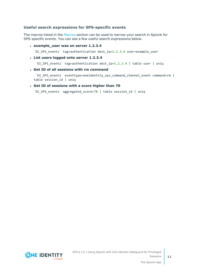### **Useful search expressions for SPS-specific events**

The macros listed in the [Macros](#page-9-1) section can be used to narrow your search in Splunk for SPS-specific events. You can see a few useful search expressions below.

<sup>l</sup> **example\_user was on server 1.2.3.4**

`OI SPS events` tag=authentication dest  $ip=1.2.3.4$  user=example user

<sup>l</sup> **List users logged onto server 1.2.3.4**

`OI SPS events` tag=authentication dest ip=1.2.3.4 | table user | uniq

<sup>l</sup> **Get ID of all sessions with rm command**

`OI SPS events` eventtype=oneidentity sps command channel event command=rm | table session\_id | uniq

#### <sup>l</sup> **Get ID of sessions with a score higher than 70**

`OI\_SPS\_events` aggregated\_score>70 | table session\_id | uniq



SPS 6.13.1 Using Splunk with One Identity Safeguard for Privileged Sessions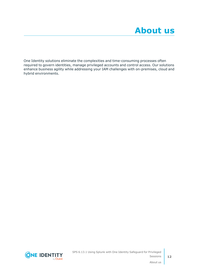<span id="page-11-0"></span>One Identity solutions eliminate the complexities and time-consuming processes often required to govern identities, manage privileged accounts and control access. Our solutions enhance business agility while addressing your IAM challenges with on-premises, cloud and hybrid environments.



SPS 6.13.1 Using Splunk with One Identity Safeguard for Privileged Sessions

About us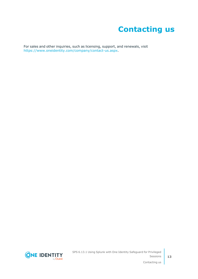# **Contacting us**

<span id="page-12-0"></span>For sales and other inquiries, such as licensing, support, and renewals, visit [https://www.oneidentity.com/company/contact-us.aspx.](https://www.oneidentity.com/company/contact-us.aspx)

**ONE IDENTITY** by **Quest**  SPS 6.13.1 Using Splunk with One Identity Safeguard for Privileged Sessions